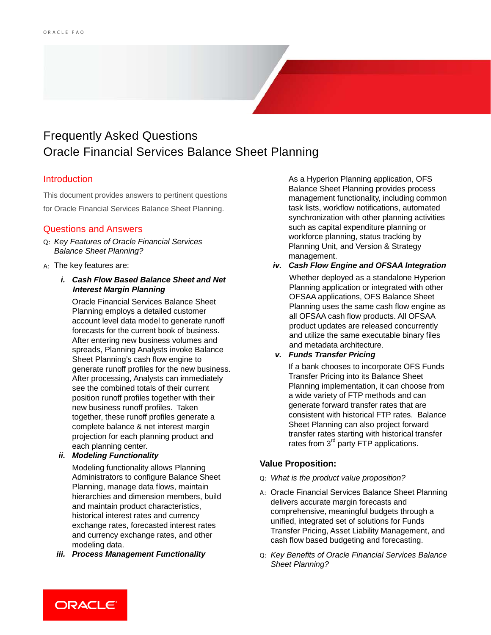# Frequently Asked Questions Oracle Financial Services Balance Sheet Planning

# **Introduction**

This document provides answers to pertinent questions for Oracle Financial Services Balance Sheet Planning.

# Questions and Answers

- Q: *Key Features of Oracle Financial Services Balance Sheet Planning?*
- A: The key features are:
	- *i. Cash Flow Based Balance Sheet and Net Interest Margin Planning*

Oracle Financial Services Balance Sheet Planning employs a detailed customer account level data model to generate runoff forecasts for the current book of business. After entering new business volumes and spreads, Planning Analysts invoke Balance Sheet Planning's cash flow engine to generate runoff profiles for the new business. After processing, Analysts can immediately see the combined totals of their current position runoff profiles together with their new business runoff profiles. Taken together, these runoff profiles generate a complete balance & net interest margin projection for each planning product and each planning center.

*ii. Modeling Functionality*

Modeling functionality allows Planning Administrators to configure Balance Sheet Planning, manage data flows, maintain hierarchies and dimension members, build and maintain product characteristics, historical interest rates and currency exchange rates, forecasted interest rates and currency exchange rates, and other modeling data.

*iii. Process Management Functionality*

As a Hyperion Planning application, OFS Balance Sheet Planning provides process management functionality, including common task lists, workflow notifications, automated synchronization with other planning activities such as capital expenditure planning or workforce planning, status tracking by Planning Unit, and Version & Strategy management.

*iv. Cash Flow Engine and OFSAA Integration*

Whether deployed as a standalone Hyperion Planning application or integrated with other OFSAA applications, OFS Balance Sheet Planning uses the same cash flow engine as all OFSAA cash flow products. All OFSAA product updates are released concurrently and utilize the same executable binary files and metadata architecture.

### *v. Funds Transfer Pricing*

If a bank chooses to incorporate OFS Funds Transfer Pricing into its Balance Sheet Planning implementation, it can choose from a wide variety of FTP methods and can generate forward transfer rates that are consistent with historical FTP rates. Balance Sheet Planning can also project forward transfer rates starting with historical transfer rates from 3<sup>rd</sup> party FTP applications.

### **Value Proposition:**

- Q: *What is the product value proposition?*
- A: Oracle Financial Services Balance Sheet Planning delivers accurate margin forecasts and comprehensive, meaningful budgets through a unified, integrated set of solutions for Funds Transfer Pricing, Asset Liability Management, and cash flow based budgeting and forecasting.
- Q: *Key Benefits of Oracle Financial Services Balance Sheet Planning?*

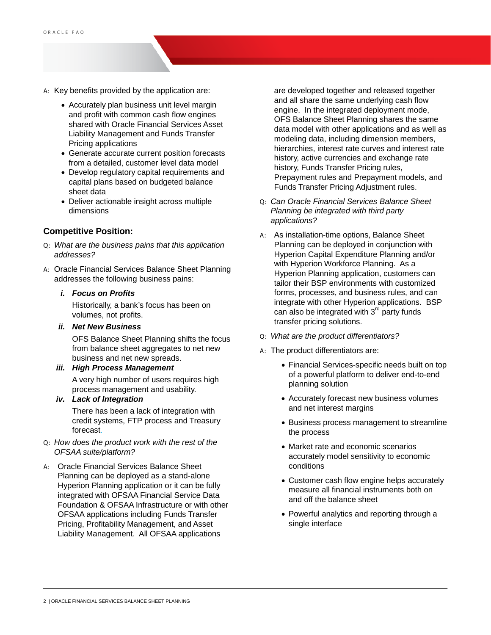- A: Key benefits provided by the application are:
	- Accurately plan business unit level margin and profit with common cash flow engines shared with Oracle Financial Services Asset Liability Management and Funds Transfer Pricing applications
	- Generate accurate current position forecasts from a detailed, customer level data model
	- Develop regulatory capital requirements and capital plans based on budgeted balance sheet data
	- Deliver actionable insight across multiple dimensions

#### **Competitive Position:**

- Q: *What are the business pains that this application addresses?*
- A: Oracle Financial Services Balance Sheet Planning addresses the following business pains:

#### *i. Focus on Profits*

Historically, a bank's focus has been on volumes, not profits.

*ii. Net New Business*

OFS Balance Sheet Planning shifts the focus from balance sheet aggregates to net new business and net new spreads.

#### *iii. High Process Management*

A very high number of users requires high process management and usability.

*iv. Lack of Integration*

There has been a lack of integration with credit systems, FTP process and Treasury forecast.

- Q: *How does the product work with the rest of the OFSAA suite/platform?*
- A: Oracle Financial Services Balance Sheet Planning can be deployed as a stand-alone Hyperion Planning application or it can be fully integrated with OFSAA Financial Service Data Foundation & OFSAA Infrastructure or with other OFSAA applications including Funds Transfer Pricing, Profitability Management, and Asset Liability Management. All OFSAA applications

are developed together and released together and all share the same underlying cash flow engine. In the integrated deployment mode, OFS Balance Sheet Planning shares the same data model with other applications and as well as modeling data, including dimension members, hierarchies, interest rate curves and interest rate history, active currencies and exchange rate history, Funds Transfer Pricing rules, Prepayment rules and Prepayment models, and Funds Transfer Pricing Adjustment rules.

- Q: *Can Oracle Financial Services Balance Sheet Planning be integrated with third party applications?*
- A: As installation-time options, Balance Sheet Planning can be deployed in conjunction with Hyperion Capital Expenditure Planning and/or with Hyperion Workforce Planning. As a Hyperion Planning application, customers can tailor their BSP environments with customized forms, processes, and business rules, and can integrate with other Hyperion applications. BSP can also be integrated with  $3<sup>rd</sup>$  party funds transfer pricing solutions.
- Q: *What are the product differentiators?*
- A: The product differentiators are:
	- Financial Services-specific needs built on top of a powerful platform to deliver end-to-end planning solution
	- Accurately forecast new business volumes and net interest margins
	- Business process management to streamline the process
	- Market rate and economic scenarios accurately model sensitivity to economic conditions
	- Customer cash flow engine helps accurately measure all financial instruments both on and off the balance sheet
	- Powerful analytics and reporting through a single interface